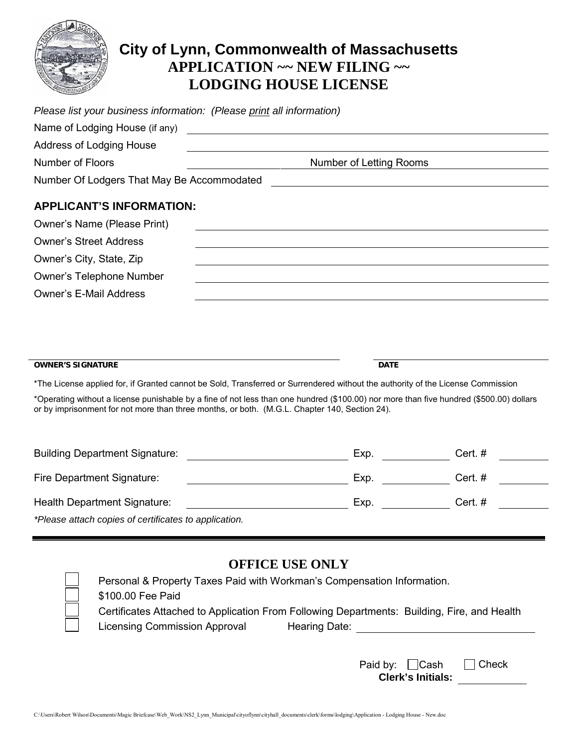

# **City of Lynn, Commonwealth of Massachusetts APPLICATION ~~ NEW FILING ~~ LODGING HOUSE LICENSE**

| Please list your business information: (Please print all information) |                                |  |  |
|-----------------------------------------------------------------------|--------------------------------|--|--|
| Name of Lodging House (if any)                                        |                                |  |  |
| Address of Lodging House                                              |                                |  |  |
| <b>Number of Floors</b>                                               | <b>Number of Letting Rooms</b> |  |  |
| Number Of Lodgers That May Be Accommodated                            |                                |  |  |
| <b>APPLICANT'S INFORMATION:</b>                                       |                                |  |  |
| Owner's Name (Please Print)                                           |                                |  |  |
| <b>Owner's Street Address</b>                                         |                                |  |  |
| Owner's City, State, Zip                                              |                                |  |  |
| Owner's Telephone Number                                              |                                |  |  |
| <b>Owner's E-Mail Address</b>                                         |                                |  |  |
|                                                                       |                                |  |  |
|                                                                       |                                |  |  |

**OWNER'S SIGNATURE DATE** 

\*The License applied for, if Granted cannot be Sold, Transferred or Surrendered without the authority of the License Commission

\*Operating without a license punishable by a fine of not less than one hundred (\$100.00) nor more than five hundred (\$500.00) dollars or by imprisonment for not more than three months, or both. (M.G.L. Chapter 140, Section 24).

| <b>Building Department Signature:</b>                 | Exp. | Cert. # |  |
|-------------------------------------------------------|------|---------|--|
| <b>Fire Department Signature:</b>                     | Exp. | Cert. # |  |
| Health Department Signature:                          | Exp. | Cert. # |  |
| *Please attach copies of certificates to application. |      |         |  |

### **OFFICE USE ONLY**

| Personal & Property Taxes Paid with Workman's Compensation Information. |                                                                                             |  |
|-------------------------------------------------------------------------|---------------------------------------------------------------------------------------------|--|
| \$100.00 Fee Paid                                                       |                                                                                             |  |
|                                                                         | Certificates Attached to Application From Following Departments: Building, Fire, and Health |  |
| <b>Licensing Commission Approval</b>                                    | Hearing Date:                                                                               |  |

| Paid by: $\Box$ Cash     | $\Box$ Check |
|--------------------------|--------------|
| <b>Clerk's Initials:</b> |              |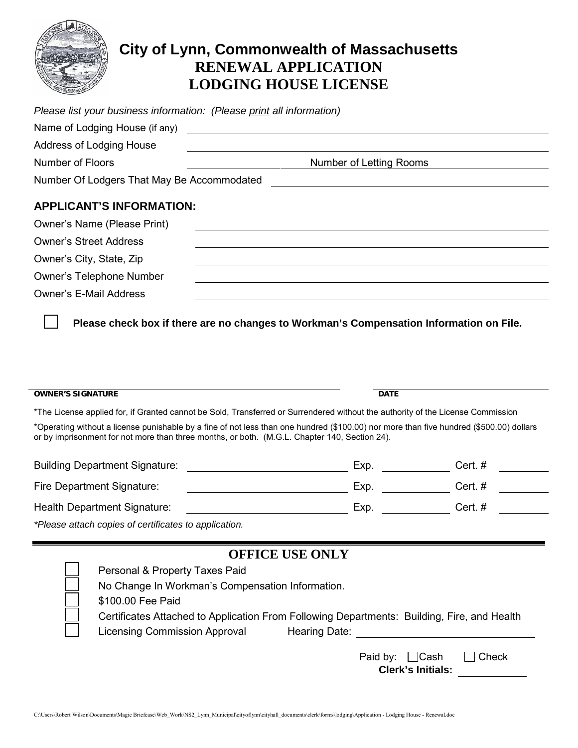

## **City of Lynn, Commonwealth of Massachusetts RENEWAL APPLICATION LODGING HOUSE LICENSE**

| Please list your business information: (Please print all information) |                         |  |  |
|-----------------------------------------------------------------------|-------------------------|--|--|
| Name of Lodging House (if any)                                        |                         |  |  |
| Address of Lodging House                                              |                         |  |  |
| Number of Floors                                                      | Number of Letting Rooms |  |  |
| Number Of Lodgers That May Be Accommodated                            |                         |  |  |
| <b>APPLICANT'S INFORMATION:</b>                                       |                         |  |  |
| Owner's Name (Please Print)                                           |                         |  |  |
| <b>Owner's Street Address</b>                                         |                         |  |  |
| Owner's City, State, Zip                                              |                         |  |  |
| <b>Owner's Telephone Number</b>                                       |                         |  |  |
| <b>Owner's E-Mail Address</b>                                         |                         |  |  |
|                                                                       |                         |  |  |

**Please check box if there are no changes to Workman's Compensation Information on File.**

#### **OWNER'S SIGNATURE DATE**

\*The License applied for, if Granted cannot be Sold, Transferred or Surrendered without the authority of the License Commission

\*Operating without a license punishable by a fine of not less than one hundred (\$100.00) nor more than five hundred (\$500.00) dollars or by imprisonment for not more than three months, or both. (M.G.L. Chapter 140, Section 24).

| <b>Building Department Signature:</b> | Exp. | Cert.#  |  |
|---------------------------------------|------|---------|--|
| Fire Department Signature:            | Exp. | Cert. # |  |
| Health Department Signature:          | Exp. | Cert.#  |  |
|                                       |      |         |  |

*\*Please attach copies of certificates to application.*

### **OFFICE USE ONLY**

| Personal & Property Taxes Paid                                                              |
|---------------------------------------------------------------------------------------------|
| No Change In Workman's Compensation Information.                                            |
| \$100.00 Fee Paid                                                                           |
| Certificates Attached to Application From Following Departments: Building, Fire, and Health |
| Licensing Commission Approval<br>Hearing Date:                                              |
|                                                                                             |

| Paid by:   Cash          |  | $\vert$ $\vert$ Check |
|--------------------------|--|-----------------------|
| <b>Clerk's Initials:</b> |  |                       |
|                          |  |                       |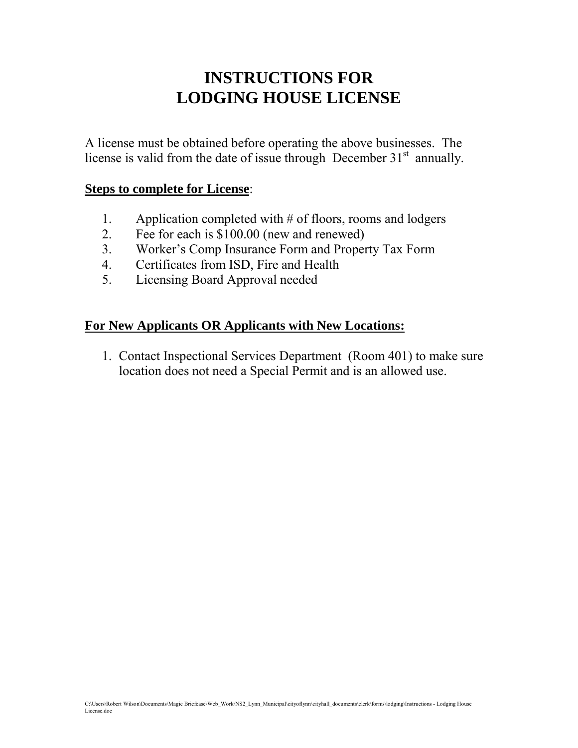# **INSTRUCTIONS FOR LODGING HOUSE LICENSE**

A license must be obtained before operating the above businesses. The license is valid from the date of issue through December  $31<sup>st</sup>$  annually.

#### **Steps to complete for License**:

- 1. Application completed with # of floors, rooms and lodgers
- 2. Fee for each is \$100.00 (new and renewed)
- 3. Worker's Comp Insurance Form and Property Tax Form
- 4. Certificates from ISD, Fire and Health
- 5. Licensing Board Approval needed

## **For New Applicants OR Applicants with New Locations:**

1. Contact Inspectional Services Department (Room 401) to make sure location does not need a Special Permit and is an allowed use.